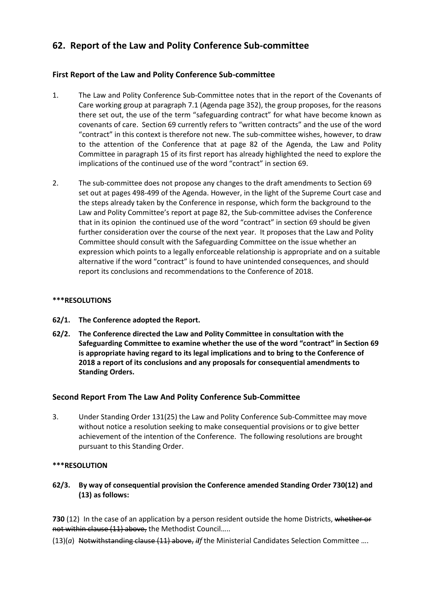# **62. Report of the Law and Polity Conference Sub-committee**

## **First Report of the Law and Polity Conference Sub-committee**

- 1. The Law and Polity Conference Sub-Committee notes that in the report of the Covenants of Care working group at paragraph 7.1 (Agenda page 352), the group proposes, for the reasons there set out, the use of the term "safeguarding contract" for what have become known as covenants of care. Section 69 currently refers to "written contracts" and the use of the word "contract" in this context is therefore not new. The sub-committee wishes, however, to draw to the attention of the Conference that at page 82 of the Agenda, the Law and Polity Committee in paragraph 15 of its first report has already highlighted the need to explore the implications of the continued use of the word "contract" in section 69.
- 2. The sub-committee does not propose any changes to the draft amendments to Section 69 set out at pages 498-499 of the Agenda. However, in the light of the Supreme Court case and the steps already taken by the Conference in response, which form the background to the Law and Polity Committee's report at page 82, the Sub-committee advises the Conference that in its opinion the continued use of the word "contract" in section 69 should be given further consideration over the course of the next year. It proposes that the Law and Polity Committee should consult with the Safeguarding Committee on the issue whether an expression which points to a legally enforceable relationship is appropriate and on a suitable alternative if the word "contract" is found to have unintended consequences, and should report its conclusions and recommendations to the Conference of 2018.

## **\*\*\*RESOLUTIONS**

- **62/1. The Conference adopted the Report.**
- **62/2. The Conference directed the Law and Polity Committee in consultation with the Safeguarding Committee to examine whether the use of the word "contract" in Section 69 is appropriate having regard to its legal implications and to bring to the Conference of 2018 a report of its conclusions and any proposals for consequential amendments to Standing Orders.**

## **Second Report From The Law And Polity Conference Sub-Committee**

3. Under Standing Order 131(25) the Law and Polity Conference Sub-Committee may move without notice a resolution seeking to make consequential provisions or to give better achievement of the intention of the Conference. The following resolutions are brought pursuant to this Standing Order.

### **\*\*\*RESOLUTION**

**62/3. By way of consequential provision the Conference amended Standing Order 730(12) and (13) as follows:**

**730** (12) In the case of an application by a person resident outside the home Districts, whether or not within clause (11) above, the Methodist Council…..

(13)(*a*) Notwithstanding clause (11) above, *iIf* the Ministerial Candidates Selection Committee ….